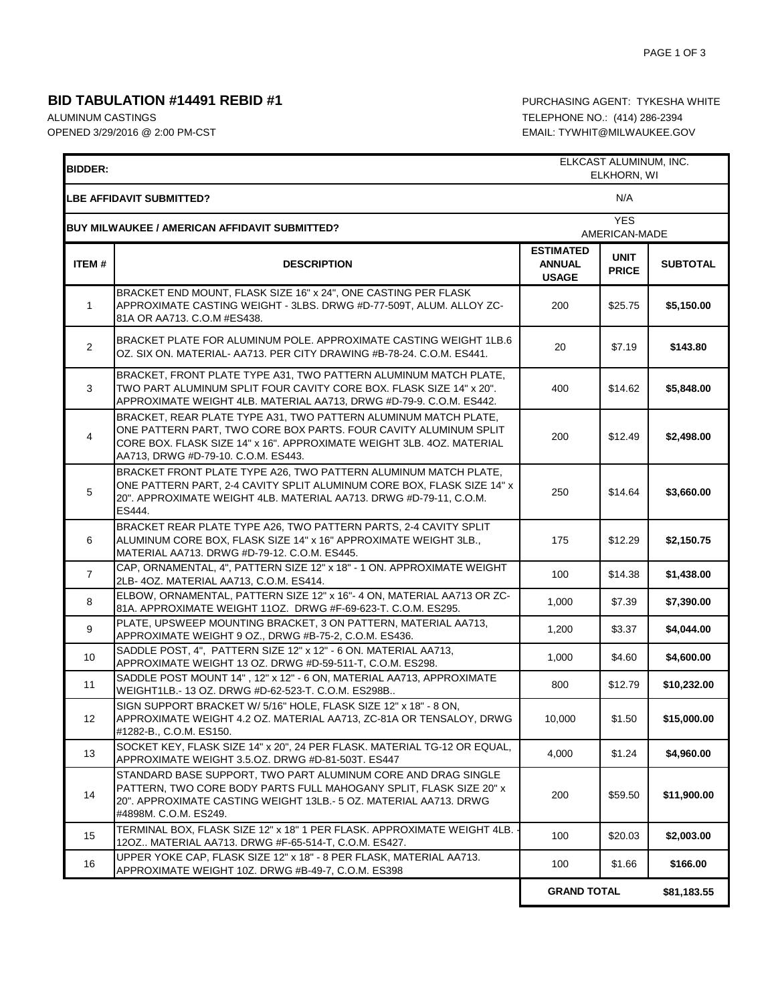## **BID TABULATION #14491 REBID #1 PURCHASING AGENT: TYKESHA WHITE**

ALUMINUM CASTINGS **TELEPHONE NO.:** (414) 286-2394

OPENED 3/29/2016 @ 2:00 PM-CST EMAIL: TYWHIT@MILWAUKEE.GOV

| ELKCAST ALUMINUM, INC.<br><b>BIDDER:</b><br>ELKHORN, WI |                                                                                                                                                                                                                                                     |                                                   |                             |                 |  |
|---------------------------------------------------------|-----------------------------------------------------------------------------------------------------------------------------------------------------------------------------------------------------------------------------------------------------|---------------------------------------------------|-----------------------------|-----------------|--|
|                                                         | LBE AFFIDAVIT SUBMITTED?                                                                                                                                                                                                                            |                                                   | N/A                         |                 |  |
| <b>BUY MILWAUKEE / AMERICAN AFFIDAVIT SUBMITTED?</b>    |                                                                                                                                                                                                                                                     |                                                   | <b>YES</b><br>AMERICAN-MADE |                 |  |
| ITEM#                                                   | <b>DESCRIPTION</b>                                                                                                                                                                                                                                  | <b>ESTIMATED</b><br><b>ANNUAL</b><br><b>USAGE</b> | <b>UNIT</b><br><b>PRICE</b> | <b>SUBTOTAL</b> |  |
| 1                                                       | BRACKET END MOUNT, FLASK SIZE 16" x 24", ONE CASTING PER FLASK<br>APPROXIMATE CASTING WEIGHT - 3LBS. DRWG #D-77-509T, ALUM. ALLOY ZC-<br>81A OR AA713. C.O.M #ES438.                                                                                | 200                                               | \$25.75                     | \$5,150.00      |  |
| $\overline{2}$                                          | BRACKET PLATE FOR ALUMINUM POLE, APPROXIMATE CASTING WEIGHT 1LB.6<br>OZ. SIX ON. MATERIAL- AA713. PER CITY DRAWING #B-78-24. C.O.M. ES441.                                                                                                          | 20                                                | \$7.19                      | \$143.80        |  |
| 3                                                       | BRACKET, FRONT PLATE TYPE A31, TWO PATTERN ALUMINUM MATCH PLATE,<br>TWO PART ALUMINUM SPLIT FOUR CAVITY CORE BOX. FLASK SIZE 14" x 20".<br>APPROXIMATE WEIGHT 4LB. MATERIAL AA713, DRWG #D-79-9. C.O.M. ES442.                                      | 400                                               | \$14.62                     | \$5,848.00      |  |
| 4                                                       | BRACKET, REAR PLATE TYPE A31, TWO PATTERN ALUMINUM MATCH PLATE,<br>ONE PATTERN PART, TWO CORE BOX PARTS. FOUR CAVITY ALUMINUM SPLIT<br>CORE BOX. FLASK SIZE 14" x 16". APPROXIMATE WEIGHT 3LB. 4OZ. MATERIAL<br>AA713, DRWG #D-79-10. C.O.M. ES443. | 200                                               | \$12.49                     | \$2,498.00      |  |
| $\overline{5}$                                          | BRACKET FRONT PLATE TYPE A26, TWO PATTERN ALUMINUM MATCH PLATE,<br>ONE PATTERN PART, 2-4 CAVITY SPLIT ALUMINUM CORE BOX, FLASK SIZE 14" x<br>20". APPROXIMATE WEIGHT 4LB. MATERIAL AA713. DRWG #D-79-11, C.O.M.<br>ES444.                           | 250                                               | \$14.64                     | \$3,660.00      |  |
| 6                                                       | BRACKET REAR PLATE TYPE A26, TWO PATTERN PARTS, 2-4 CAVITY SPLIT<br>ALUMINUM CORE BOX, FLASK SIZE 14" x 16" APPROXIMATE WEIGHT 3LB.,<br>MATERIAL AA713. DRWG #D-79-12. C.O.M. ES445.                                                                | 175                                               | \$12.29                     | \$2,150.75      |  |
| $\overline{7}$                                          | CAP, ORNAMENTAL, 4", PATTERN SIZE 12" x 18" - 1 ON. APPROXIMATE WEIGHT<br>2LB-4OZ. MATERIAL AA713, C.O.M. ES414.                                                                                                                                    | 100                                               | \$14.38                     | \$1,438.00      |  |
| 8                                                       | ELBOW, ORNAMENTAL, PATTERN SIZE 12" x 16"- 4 ON, MATERIAL AA713 OR ZC-<br>81A. APPROXIMATE WEIGHT 11OZ. DRWG #F-69-623-T. C.O.M. ES295.                                                                                                             | 1,000                                             | \$7.39                      | \$7,390.00      |  |
| 9                                                       | PLATE, UPSWEEP MOUNTING BRACKET, 3 ON PATTERN, MATERIAL AA713,<br>APPROXIMATE WEIGHT 9 OZ., DRWG #B-75-2, C.O.M. ES436.                                                                                                                             | 1,200                                             | \$3.37                      | \$4,044.00      |  |
| 10                                                      | SADDLE POST, 4", PATTERN SIZE 12" x 12" - 6 ON. MATERIAL AA713,<br>APPROXIMATE WEIGHT 13 OZ. DRWG #D-59-511-T, C.O.M. ES298.                                                                                                                        | 1,000                                             | \$4.60                      | \$4,600.00      |  |
| 11                                                      | SADDLE POST MOUNT 14", 12" x 12" - 6 ON, MATERIAL AA713, APPROXIMATE<br>WEIGHT1LB. 13 OZ. DRWG #D-62-523-T. C.O.M. ES298B                                                                                                                           | 800                                               | \$12.79                     | \$10,232.00     |  |
| 12                                                      | SIGN SUPPORT BRACKET W/ 5/16" HOLE, FLASK SIZE 12" x 18" - 8 ON,<br>APPROXIMATE WEIGHT 4.2 OZ. MATERIAL AA713, ZC-81A OR TENSALOY, DRWG<br>#1282-B., C.O.M. ES150.                                                                                  | 10,000                                            | \$1.50                      | \$15,000.00     |  |
| 13                                                      | SOCKET KEY. FLASK SIZE 14" x 20", 24 PER FLASK, MATERIAL TG-12 OR EQUAL.<br>APPROXIMATE WEIGHT 3.5.OZ. DRWG #D-81-503T. ES447                                                                                                                       | 4,000                                             | \$1.24                      | \$4,960.00      |  |
| 14                                                      | STANDARD BASE SUPPORT, TWO PART ALUMINUM CORE AND DRAG SINGLE<br>PATTERN, TWO CORE BODY PARTS FULL MAHOGANY SPLIT, FLASK SIZE 20" x<br>20". APPROXIMATE CASTING WEIGHT 13LB.- 5 OZ. MATERIAL AA713. DRWG<br>#4898M. C.O.M. ES249.                   | 200                                               | \$59.50                     | \$11,900.00     |  |
| 15                                                      | TERMINAL BOX, FLASK SIZE 12" x 18" 1 PER FLASK. APPROXIMATE WEIGHT 4LB.<br>12OZ MATERIAL AA713. DRWG #F-65-514-T, C.O.M. ES427.                                                                                                                     | 100                                               | \$20.03                     | \$2,003.00      |  |
| 16                                                      | UPPER YOKE CAP, FLASK SIZE 12" x 18" - 8 PER FLASK, MATERIAL AA713.<br>APPROXIMATE WEIGHT 10Z. DRWG #B-49-7, C.O.M. ES398                                                                                                                           | 100                                               | \$1.66                      | \$166.00        |  |
|                                                         |                                                                                                                                                                                                                                                     | <b>GRAND TOTAL</b>                                |                             | \$81,183.55     |  |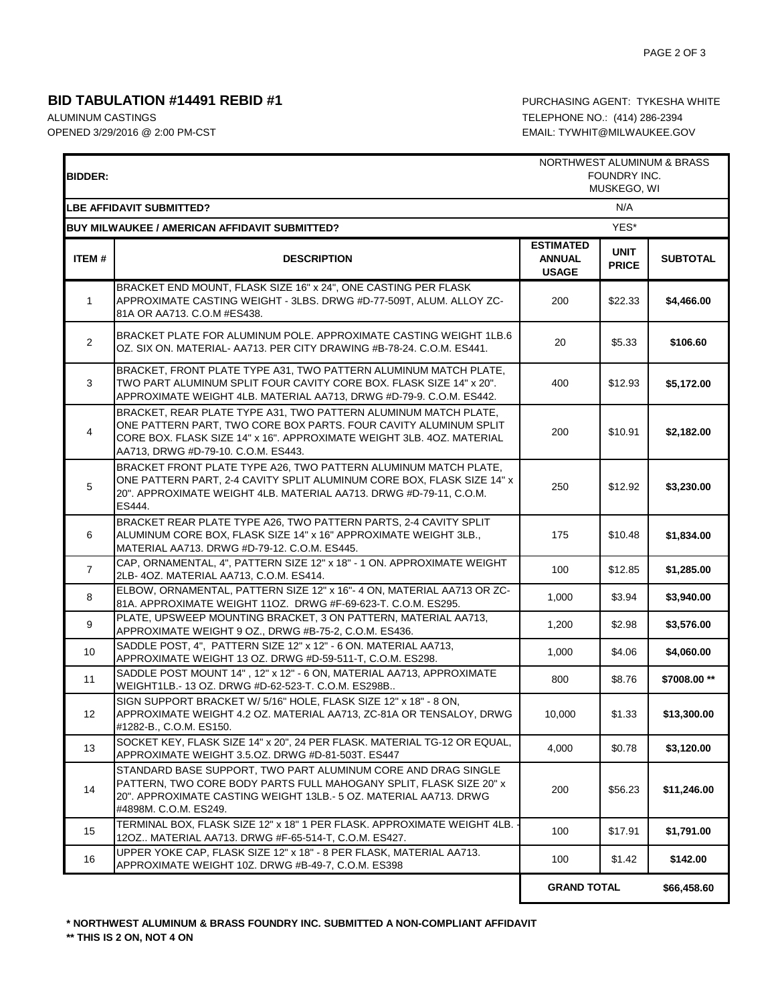## **BID TABULATION #14491 REBID #1 PURCHASING AGENT: TYKESHA WHITE**

ALUMINUM CASTINGS TELEPHONE NO.: (414) 286-2394

 $\blacksquare$ 

OPENED 3/29/2016 @ 2:00 PM-CST CONSULTER SOLUTION COPENED 3/29/2016 @ 2:00 PM-CST

| <b>BIDDER:</b>                         |                                                                                                                                                                                                                                                     | NORTHWEST ALUMINUM & BRASS<br>FOUNDRY INC.<br>MUSKEGO, WI |                             |                 |  |  |
|----------------------------------------|-----------------------------------------------------------------------------------------------------------------------------------------------------------------------------------------------------------------------------------------------------|-----------------------------------------------------------|-----------------------------|-----------------|--|--|
| <b>LBE AFFIDAVIT SUBMITTED?</b><br>N/A |                                                                                                                                                                                                                                                     |                                                           |                             |                 |  |  |
|                                        | <b>BUY MILWAUKEE / AMERICAN AFFIDAVIT SUBMITTED?</b>                                                                                                                                                                                                | YES*                                                      |                             |                 |  |  |
| <b>ITEM#</b>                           | <b>DESCRIPTION</b>                                                                                                                                                                                                                                  | <b>ESTIMATED</b><br><b>ANNUAL</b><br><b>USAGE</b>         | <b>UNIT</b><br><b>PRICE</b> | <b>SUBTOTAL</b> |  |  |
| $\mathbf{1}$                           | BRACKET END MOUNT, FLASK SIZE 16" x 24", ONE CASTING PER FLASK<br>APPROXIMATE CASTING WEIGHT - 3LBS. DRWG #D-77-509T, ALUM. ALLOY ZC-<br>81A OR AA713. C.O.M #ES438.                                                                                | 200                                                       | \$22.33                     | \$4,466.00      |  |  |
| $\overline{2}$                         | BRACKET PLATE FOR ALUMINUM POLE. APPROXIMATE CASTING WEIGHT 1LB.6<br>OZ. SIX ON. MATERIAL- AA713. PER CITY DRAWING #B-78-24. C.O.M. ES441.                                                                                                          | 20                                                        | \$5.33                      | \$106.60        |  |  |
| 3                                      | BRACKET, FRONT PLATE TYPE A31, TWO PATTERN ALUMINUM MATCH PLATE,<br>TWO PART ALUMINUM SPLIT FOUR CAVITY CORE BOX. FLASK SIZE 14" x 20".<br>APPROXIMATE WEIGHT 4LB. MATERIAL AA713, DRWG #D-79-9. C.O.M. ES442.                                      | 400                                                       | \$12.93                     | \$5,172.00      |  |  |
| $\overline{4}$                         | BRACKET, REAR PLATE TYPE A31, TWO PATTERN ALUMINUM MATCH PLATE,<br>ONE PATTERN PART, TWO CORE BOX PARTS. FOUR CAVITY ALUMINUM SPLIT<br>CORE BOX. FLASK SIZE 14" x 16". APPROXIMATE WEIGHT 3LB. 4OZ. MATERIAL<br>AA713, DRWG #D-79-10. C.O.M. ES443. | 200                                                       | \$10.91                     | \$2,182.00      |  |  |
| $\,$ 5 $\,$                            | BRACKET FRONT PLATE TYPE A26, TWO PATTERN ALUMINUM MATCH PLATE,<br>ONE PATTERN PART, 2-4 CAVITY SPLIT ALUMINUM CORE BOX, FLASK SIZE 14" x<br>20". APPROXIMATE WEIGHT 4LB. MATERIAL AA713. DRWG #D-79-11, C.O.M.<br>ES444.                           | 250                                                       | \$12.92                     | \$3,230.00      |  |  |
| 6                                      | BRACKET REAR PLATE TYPE A26, TWO PATTERN PARTS, 2-4 CAVITY SPLIT<br>ALUMINUM CORE BOX, FLASK SIZE 14" x 16" APPROXIMATE WEIGHT 3LB.,<br>MATERIAL AA713. DRWG #D-79-12. C.O.M. ES445.                                                                | 175                                                       | \$10.48                     | \$1,834.00      |  |  |
| $\overline{7}$                         | CAP, ORNAMENTAL, 4", PATTERN SIZE 12" x 18" - 1 ON. APPROXIMATE WEIGHT<br>2LB- 4OZ. MATERIAL AA713, C.O.M. ES414.                                                                                                                                   | 100                                                       | \$12.85                     | \$1,285.00      |  |  |
| 8                                      | ELBOW, ORNAMENTAL, PATTERN SIZE 12" x 16"- 4 ON, MATERIAL AA713 OR ZC-<br>81A. APPROXIMATE WEIGHT 11OZ. DRWG #F-69-623-T. C.O.M. ES295.                                                                                                             | 1,000                                                     | \$3.94                      | \$3,940.00      |  |  |
| 9                                      | PLATE, UPSWEEP MOUNTING BRACKET, 3 ON PATTERN, MATERIAL AA713,<br>APPROXIMATE WEIGHT 9 OZ., DRWG #B-75-2, C.O.M. ES436.                                                                                                                             | 1,200                                                     | \$2.98                      | \$3,576.00      |  |  |
| 10                                     | SADDLE POST, 4", PATTERN SIZE 12" x 12" - 6 ON. MATERIAL AA713,<br>APPROXIMATE WEIGHT 13 OZ. DRWG #D-59-511-T, C.O.M. ES298.                                                                                                                        | 1,000                                                     | \$4.06                      | \$4,060.00      |  |  |
| 11                                     | SADDLE POST MOUNT 14", 12" x 12" - 6 ON, MATERIAL AA713, APPROXIMATE<br>WEIGHT1LB.- 13 OZ. DRWG #D-62-523-T. C.O.M. ES298B                                                                                                                          | 800                                                       | \$8.76                      | \$7008.00 **    |  |  |
| 12 <sup>°</sup>                        | SIGN SUPPORT BRACKET W/ 5/16" HOLE, FLASK SIZE 12" x 18" - 8 ON,<br>APPROXIMATE WEIGHT 4.2 OZ. MATERIAL AA713, ZC-81A OR TENSALOY, DRWG<br>#1282-B., C.O.M. ES150.                                                                                  | 10,000                                                    | \$1.33                      | \$13,300.00     |  |  |
| 13                                     | SOCKET KEY, FLASK SIZE 14" x 20", 24 PER FLASK. MATERIAL TG-12 OR EQUAL,<br>APPROXIMATE WEIGHT 3.5.OZ. DRWG #D-81-503T. ES447                                                                                                                       | 4,000                                                     | \$0.78                      | \$3,120.00      |  |  |
| 14                                     | STANDARD BASE SUPPORT. TWO PART ALUMINUM CORE AND DRAG SINGLE<br>PATTERN, TWO CORE BODY PARTS FULL MAHOGANY SPLIT, FLASK SIZE 20" x<br>20". APPROXIMATE CASTING WEIGHT 13LB.- 5 OZ. MATERIAL AA713. DRWG<br>#4898M. C.O.M. ES249.                   | 200                                                       | \$56.23                     | \$11,246.00     |  |  |
| 15                                     | TERMINAL BOX, FLASK SIZE 12" x 18" 1 PER FLASK. APPROXIMATE WEIGHT 4LB.<br>12OZ MATERIAL AA713. DRWG #F-65-514-T, C.O.M. ES427.                                                                                                                     | 100                                                       | \$17.91                     | \$1,791.00      |  |  |
| 16                                     | UPPER YOKE CAP, FLASK SIZE 12" x 18" - 8 PER FLASK, MATERIAL AA713.<br>APPROXIMATE WEIGHT 10Z. DRWG #B-49-7, C.O.M. ES398                                                                                                                           | 100                                                       | \$1.42                      | \$142.00        |  |  |
|                                        |                                                                                                                                                                                                                                                     | <b>GRAND TOTAL</b>                                        |                             | \$66,458.60     |  |  |

**\* NORTHWEST ALUMINUM & BRASS FOUNDRY INC. SUBMITTED A NON-COMPLIANT AFFIDAVIT**

**\*\* THIS IS 2 ON, NOT 4 ON**